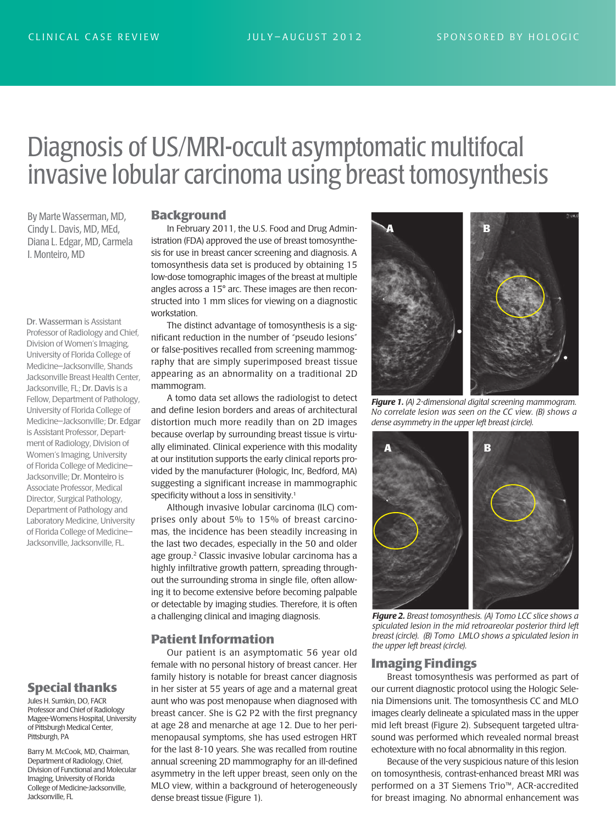# Diagnosis of US/MRI-occult asymptomatic multifocal invasive lobular carcinoma using breast tomosynthesis

By Marte Wasserman, MD, Cindy L. Davis, MD, MEd, Diana L. Edgar, MD, Carmela I. Monteiro, MD

Dr. Wasserman is Assistant Professor of Radiology and Chief, Division of Women's Imaging, University of Florida College of Medicine–Jacksonville, Shands Jacksonville Breast Health Center, Jacksonville, FL; Dr. Davis is a Fellow, Department of Pathology, University of Florida College of Medicine–Jacksonville; Dr. Edgar is Assistant Professor, Department of Radiology, Division of Women's Imaging, University of Florida College of Medicine– Jacksonville; Dr. Monteiro is Associate Professor, Medical Director, Surgical Pathology, Department of Pathology and Laboratory Medicine, University of Florida College of Medicine– Jacksonville, Jacksonville, FL.

# **Special thanks**

Jules H. Sumkin, DO, FACR Professor and Chief of Radiology Magee-Womens Hospital, University of Pittsburgh Medical Center, Pittsburgh, PA

Barry M. McCook, MD, Chairman, Department of Radiology, Chief, Division of Functional and Molecular Imaging, University of Florida College of Medicine-Jacksonville, Jacksonville, FL

#### **Background**

In February 2011, the U.S. Food and Drug Administration (FDA) approved the use of breast tomosynthesis for use in breast cancer screening and diagnosis. A tomosynthesis data set is produced by obtaining 15 low-dose tomographic images of the breast at multiple angles across a 15° arc. These images are then reconstructed into 1 mm slices for viewing on a diagnostic workstation.

The distinct advantage of tomosynthesis is a significant reduction in the number of "pseudo lesions" or false-positives recalled from screening mammography that are simply superimposed breast tissue appearing as an abnormality on a traditional 2D mammogram.

A tomo data set allows the radiologist to detect and define lesion borders and areas of architectural distortion much more readily than on 2D images because overlap by surrounding breast tissue is virtually eliminated. Clinical experience with this modality at our institution supports the early clinical reports provided by the manufacturer (Hologic, Inc, Bedford, MA) suggesting a significant increase in mammographic specificity without a loss in sensitivity.<sup>1</sup>

Although invasive lobular carcinoma (ILC) comprises only about 5% to 15% of breast carcinomas, the incidence has been steadily increasing in the last two decades, especially in the 50 and older age group.<sup>2</sup> Classic invasive lobular carcinoma has a highly infiltrative growth pattern, spreading throughout the surrounding stroma in single file, often allowing it to become extensive before becoming palpable or detectable by imaging studies. Therefore, it is often a challenging clinical and imaging diagnosis.

#### **Patient Information**

Our patient is an asymptomatic 56 year old female with no personal history of breast cancer. Her family history is notable for breast cancer diagnosis in her sister at 55 years of age and a maternal great aunt who was post menopause when diagnosed with breast cancer. She is G2 P2 with the first pregnancy at age 28 and menarche at age 12. Due to her perimenopausal symptoms, she has used estrogen HRT for the last 8-10 years. She was recalled from routine annual screening 2D mammography for an ill-defined asymmetry in the left upper breast, seen only on the MLO view, within a background of heterogeneously dense breast tissue (Figure 1).



*Figure 1. (A) 2-dimensional digital screening mammogram. No correlate lesion was seen on the CC view. (B) shows a dense asymmetry in the upper left breast (circle).*



*Figure 2. Breast tomosynthesis. (A) Tomo LCC slice shows a spicu lated lesion in the mid retroareolar posterior third left breast (circle). (B) Tomo LMLO shows a spiculated lesion in the upper left breast (circle).*

## **Imaging Findings**

Breast tomosynthesis was performed as part of our current diagnostic protocol using the Hologic Selenia Dimensions unit. The tomosynthesis CC and MLO images clearly delineate a spiculated mass in the upper mid left breast (Figure 2). Subsequent targeted ultrasound was performed which revealed normal breast echotexture with no focal abnormality in this region.

Because of the very suspicious nature of this lesion on tomosynthesis, contrast-enhanced breast MRI was performed on a 3T Siemens Trio™, ACR-accredited for breast imaging. No abnormal enhancement was